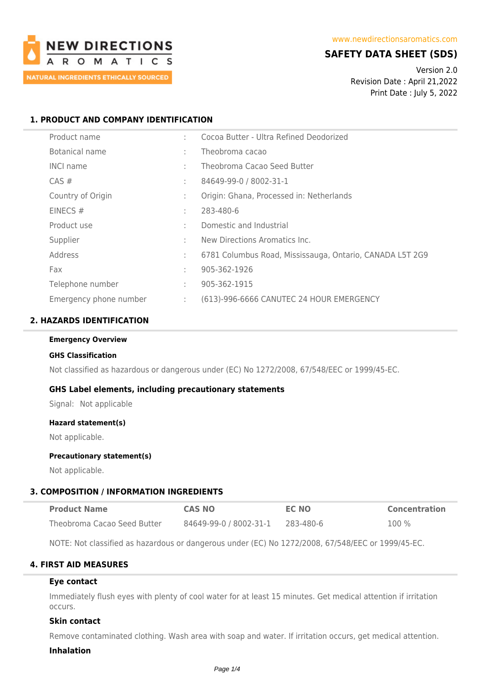

# **SAFETY DATA SHEET (SDS)**

Version 2.0 Revision Date : April 21,2022 Print Date : July 5, 2022

## **1. PRODUCT AND COMPANY IDENTIFICATION**

| Product name           | ٠  | Cocoa Butter - Ultra Refined Deodorized                  |
|------------------------|----|----------------------------------------------------------|
| Botanical name         | ÷  | Theobroma cacao                                          |
| <b>INCI name</b>       | t. | Theobroma Cacao Seed Butter                              |
| $CAS \#$               | ÷  | 84649-99-0 / 8002-31-1                                   |
| Country of Origin      | ÷  | Origin: Ghana, Processed in: Netherlands                 |
| EINECS#                | ÷  | 283-480-6                                                |
| Product use            |    | Domestic and Industrial                                  |
| Supplier               | ٠  | New Directions Aromatics Inc.                            |
| Address                | ÷  | 6781 Columbus Road, Mississauga, Ontario, CANADA L5T 2G9 |
| Fax                    | ٠  | 905-362-1926                                             |
| Telephone number       | ÷  | 905-362-1915                                             |
| Emergency phone number | ÷  | (613)-996-6666 CANUTEC 24 HOUR EMERGENCY                 |

## **2. HAZARDS IDENTIFICATION**

#### **Emergency Overview**

#### **GHS Classification**

Not classified as hazardous or dangerous under (EC) No 1272/2008, 67/548/EEC or 1999/45-EC.

#### **GHS Label elements, including precautionary statements**

Signal: Not applicable

#### **Hazard statement(s)**

Not applicable.

### **Precautionary statement(s)**

Not applicable.

#### **3. COMPOSITION / INFORMATION INGREDIENTS**

| <b>Product Name</b>         | <b>CAS NO</b>          | <b>EC NO</b> | <b>Concentration</b> |
|-----------------------------|------------------------|--------------|----------------------|
| Theobroma Cacao Seed Butter | 84649-99-0 / 8002-31-1 | 283-480-6    | 100 %                |

NOTE: Not classified as hazardous or dangerous under (EC) No 1272/2008, 67/548/EEC or 1999/45-EC.

### **4. FIRST AID MEASURES**

#### **Eye contact**

Immediately flush eyes with plenty of cool water for at least 15 minutes. Get medical attention if irritation occurs.

### **Skin contact**

Remove contaminated clothing. Wash area with soap and water. If irritation occurs, get medical attention.

#### **Inhalation**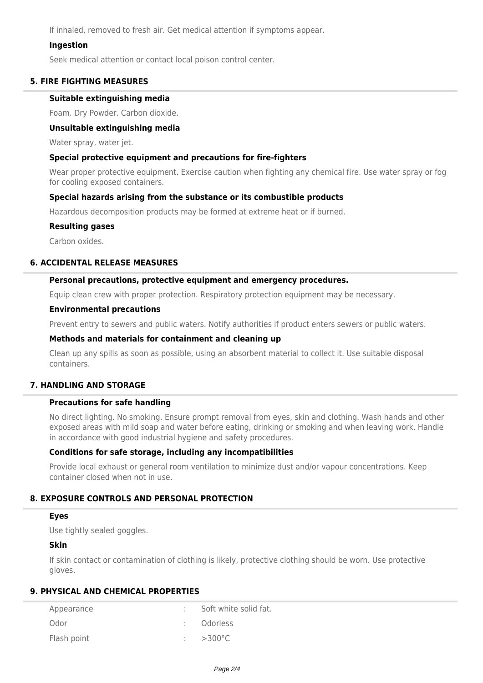If inhaled, removed to fresh air. Get medical attention if symptoms appear.

### **Ingestion**

Seek medical attention or contact local poison control center.

### **5. FIRE FIGHTING MEASURES**

#### **Suitable extinguishing media**

Foam. Dry Powder. Carbon dioxide.

### **Unsuitable extinguishing media**

Water spray, water jet.

### **Special protective equipment and precautions for fire-fighters**

Wear proper protective equipment. Exercise caution when fighting any chemical fire. Use water spray or fog for cooling exposed containers.

### **Special hazards arising from the substance or its combustible products**

Hazardous decomposition products may be formed at extreme heat or if burned.

### **Resulting gases**

Carbon oxides.

# **6. ACCIDENTAL RELEASE MEASURES**

### **Personal precautions, protective equipment and emergency procedures.**

Equip clean crew with proper protection. Respiratory protection equipment may be necessary.

#### **Environmental precautions**

Prevent entry to sewers and public waters. Notify authorities if product enters sewers or public waters.

#### **Methods and materials for containment and cleaning up**

Clean up any spills as soon as possible, using an absorbent material to collect it. Use suitable disposal containers.

### **7. HANDLING AND STORAGE**

### **Precautions for safe handling**

No direct lighting. No smoking. Ensure prompt removal from eyes, skin and clothing. Wash hands and other exposed areas with mild soap and water before eating, drinking or smoking and when leaving work. Handle in accordance with good industrial hygiene and safety procedures.

### **Conditions for safe storage, including any incompatibilities**

Provide local exhaust or general room ventilation to minimize dust and/or vapour concentrations. Keep container closed when not in use.

### **8. EXPOSURE CONTROLS AND PERSONAL PROTECTION**

# **Eyes**

Use tightly sealed goggles.

# **Skin**

If skin contact or contamination of clothing is likely, protective clothing should be worn. Use protective gloves.

# **9. PHYSICAL AND CHEMICAL PROPERTIES**

| Appearance  | Soft white solid fat. |
|-------------|-----------------------|
| Odor        | : Odorless            |
| Flash point | $\div$ >300 °C.       |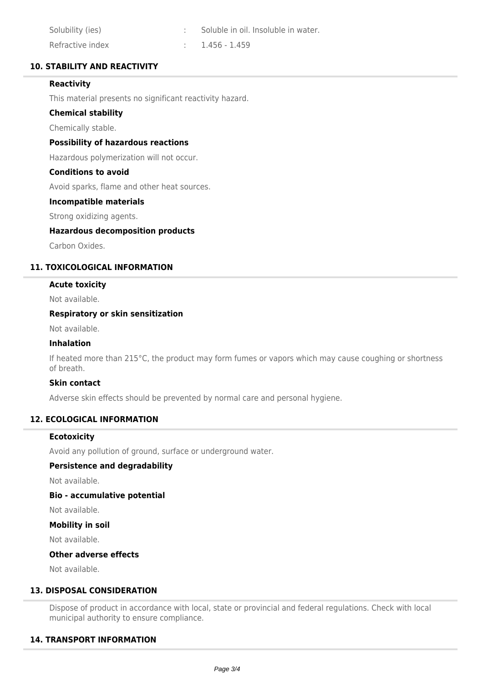| Solubility (ies) | Soluble in oil. Insoluble in water. |
|------------------|-------------------------------------|
| Refractive index | $1.456 - 1.459$                     |

## **10. STABILITY AND REACTIVITY**

## **Reactivity**

This material presents no significant reactivity hazard.

### **Chemical stability**

Chemically stable.

### **Possibility of hazardous reactions**

Hazardous polymerization will not occur.

### **Conditions to avoid**

Avoid sparks, flame and other heat sources.

## **Incompatible materials**

Strong oxidizing agents.

### **Hazardous decomposition products**

Carbon Oxides.

## **11. TOXICOLOGICAL INFORMATION**

## **Acute toxicity**

Not available.

### **Respiratory or skin sensitization**

Not available.

#### **Inhalation**

If heated more than 215°C, the product may form fumes or vapors which may cause coughing or shortness of breath.

### **Skin contact**

Adverse skin effects should be prevented by normal care and personal hygiene.

## **12. ECOLOGICAL INFORMATION**

### **Ecotoxicity**

Avoid any pollution of ground, surface or underground water.

### **Persistence and degradability**

Not available.

## **Bio - accumulative potential**

Not available.

### **Mobility in soil**

Not available.

### **Other adverse effects**

Not available.

# **13. DISPOSAL CONSIDERATION**

Dispose of product in accordance with local, state or provincial and federal regulations. Check with local municipal authority to ensure compliance.

### **14. TRANSPORT INFORMATION**